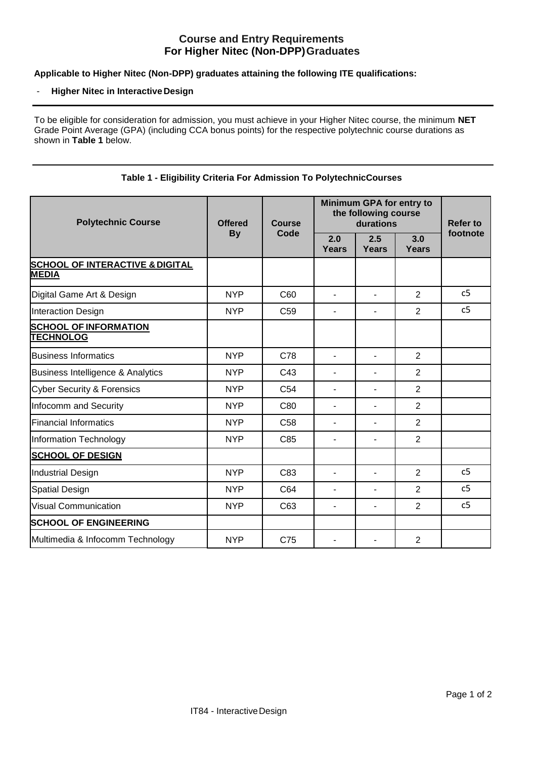# **Course and Entry Requirements For Higher Nitec (Non-DPP)Graduates**

## **Applicable to Higher Nitec (Non-DPP) graduates attaining the following ITE qualifications:**

#### - **Higher Nitec in InteractiveDesign**

To be eligible for consideration for admission, you must achieve in your Higher Nitec course, the minimum **NET**  Grade Point Average (GPA) (including CCA bonus points) for the respective polytechnic course durations as shown in **Table 1** below.

| <b>Polytechnic Course</b>                                  | <b>Offered</b><br><b>By</b> | Course<br>Code  | Minimum GPA for entry to<br>the following course<br>durations |                     |                     | <b>Refer to</b> |
|------------------------------------------------------------|-----------------------------|-----------------|---------------------------------------------------------------|---------------------|---------------------|-----------------|
|                                                            |                             |                 | 2.0<br><b>Years</b>                                           | 2.5<br><b>Years</b> | 3.0<br><b>Years</b> | footnote        |
| <b>SCHOOL OF INTERACTIVE &amp; DIGITAL</b><br><b>MEDIA</b> |                             |                 |                                                               |                     |                     |                 |
| Digital Game Art & Design                                  | <b>NYP</b>                  | C60             | $\overline{\phantom{a}}$                                      | ä,                  | 2                   | c <sub>5</sub>  |
| <b>Interaction Design</b>                                  | <b>NYP</b>                  | C <sub>59</sub> | ٠                                                             |                     | $\overline{2}$      | c <sub>5</sub>  |
| <b>SCHOOL OF INFORMATION</b><br><b>TECHNOLOG</b>           |                             |                 |                                                               |                     |                     |                 |
| <b>Business Informatics</b>                                | <b>NYP</b>                  | C78             | $\blacksquare$                                                | ٠                   | 2                   |                 |
| Business Intelligence & Analytics                          | <b>NYP</b>                  | C43             | ä,                                                            |                     | $\overline{2}$      |                 |
| <b>Cyber Security &amp; Forensics</b>                      | <b>NYP</b>                  | C <sub>54</sub> | L.                                                            |                     | $\overline{2}$      |                 |
| Infocomm and Security                                      | <b>NYP</b>                  | C80             | ä,                                                            |                     | 2                   |                 |
| <b>Financial Informatics</b>                               | <b>NYP</b>                  | C <sub>58</sub> |                                                               |                     | $\overline{2}$      |                 |
| <b>Information Technology</b>                              | <b>NYP</b>                  | C85             | L.                                                            |                     | 2                   |                 |
| <b>SCHOOL OF DESIGN</b>                                    |                             |                 |                                                               |                     |                     |                 |
| <b>Industrial Design</b>                                   | <b>NYP</b>                  | C83             | ä,                                                            |                     | $\overline{2}$      | c <sub>5</sub>  |
| Spatial Design                                             | <b>NYP</b>                  | C64             | $\overline{a}$                                                |                     | $\overline{2}$      | c5              |
| <b>Visual Communication</b>                                | <b>NYP</b>                  | C63             | ÷.                                                            | ۰                   | $\overline{2}$      | c <sub>5</sub>  |
| <b>SCHOOL OF ENGINEERING</b>                               |                             |                 |                                                               |                     |                     |                 |
| Multimedia & Infocomm Technology                           | <b>NYP</b>                  | C75             |                                                               |                     | $\overline{2}$      |                 |

## **Table 1 - Eligibility Criteria For Admission To PolytechnicCourses**